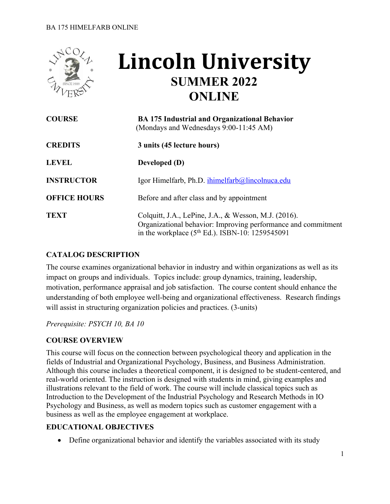

# **Lincoln University SUMMER 2022 ONLINE**

| <b>COURSE</b>       | <b>BA 175 Industrial and Organizational Behavior</b><br>(Mondays and Wednesdays 9:00-11:45 AM)                                                                                       |
|---------------------|--------------------------------------------------------------------------------------------------------------------------------------------------------------------------------------|
| <b>CREDITS</b>      | 3 units (45 lecture hours)                                                                                                                                                           |
| <b>LEVEL</b>        | <b>Developed</b> (D)                                                                                                                                                                 |
| <b>INSTRUCTOR</b>   | Igor Himelfarb, Ph.D. ihimelfarb@lincolnuca.edu                                                                                                                                      |
| <b>OFFICE HOURS</b> | Before and after class and by appointment                                                                                                                                            |
| <b>TEXT</b>         | Colquitt, J.A., LePine, J.A., & Wesson, M.J. (2016).<br>Organizational behavior: Improving performance and commitment<br>in the workplace (5 <sup>th</sup> Ed.). ISBN-10: 1259545091 |

#### **CATALOG DESCRIPTION**

The course examines organizational behavior in industry and within organizations as well as its impact on groups and individuals. Topics include: group dynamics, training, leadership, motivation, performance appraisal and job satisfaction. The course content should enhance the understanding of both employee well-being and organizational effectiveness. Research findings will assist in structuring organization policies and practices. (3-units)

*Prerequisite: PSYCH 10, BA 10*

#### **COURSE OVERVIEW**

This course will focus on the connection between psychological theory and application in the fields of Industrial and Organizational Psychology, Business, and Business Administration. Although this course includes a theoretical component, it is designed to be student-centered, and real-world oriented. The instruction is designed with students in mind, giving examples and illustrations relevant to the field of work. The course will include classical topics such as Introduction to the Development of the Industrial Psychology and Research Methods in IO Psychology and Business, as well as modern topics such as customer engagement with a business as well as the employee engagement at workplace.

#### **EDUCATIONAL OBJECTIVES**

• Define organizational behavior and identify the variables associated with its study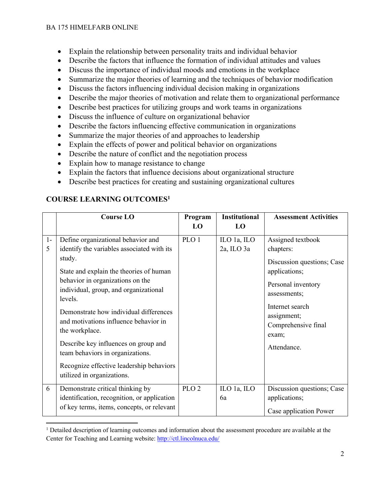- Explain the relationship between personality traits and individual behavior
- Describe the factors that influence the formation of individual attitudes and values
- Discuss the importance of individual moods and emotions in the workplace
- Summarize the major theories of learning and the techniques of behavior modification
- Discuss the factors influencing individual decision making in organizations
- Describe the major theories of motivation and relate them to organizational performance
- Describe best practices for utilizing groups and work teams in organizations
- Discuss the influence of culture on organizational behavior
- Describe the factors influencing effective communication in organizations
- Summarize the major theories of and approaches to leadership
- Explain the effects of power and political behavior on organizations
- Describe the nature of conflict and the negotiation process
- Explain how to manage resistance to change
- Explain the factors that influence decisions about organizational structure
- Describe best practices for creating and sustaining organizational cultures

## **COURSE LEARNING OUTCOMES1**

|           | <b>Course LO</b>                                                                                                                                                                                                                                                                                                                                                                                                                                                                         | Program          | <b>Institutional</b>      | <b>Assessment Activities</b>                                                                                                                                                                         |
|-----------|------------------------------------------------------------------------------------------------------------------------------------------------------------------------------------------------------------------------------------------------------------------------------------------------------------------------------------------------------------------------------------------------------------------------------------------------------------------------------------------|------------------|---------------------------|------------------------------------------------------------------------------------------------------------------------------------------------------------------------------------------------------|
|           |                                                                                                                                                                                                                                                                                                                                                                                                                                                                                          | LO               | LO                        |                                                                                                                                                                                                      |
| $1-$<br>5 | Define organizational behavior and<br>identify the variables associated with its<br>study.<br>State and explain the theories of human<br>behavior in organizations on the<br>individual, group, and organizational<br>levels.<br>Demonstrate how individual differences<br>and motivations influence behavior in<br>the workplace.<br>Describe key influences on group and<br>team behaviors in organizations.<br>Recognize effective leadership behaviors<br>utilized in organizations. | PLO <sub>1</sub> | ILO 1a, ILO<br>2a, ILO 3a | Assigned textbook<br>chapters:<br>Discussion questions; Case<br>applications;<br>Personal inventory<br>assessments;<br>Internet search<br>assignment;<br>Comprehensive final<br>exam;<br>Attendance. |
| 6         | Demonstrate critical thinking by<br>identification, recognition, or application<br>of key terms, items, concepts, or relevant                                                                                                                                                                                                                                                                                                                                                            | PLO <sub>2</sub> | ILO 1a, ILO<br>6a         | Discussion questions; Case<br>applications;<br>Case application Power                                                                                                                                |

<sup>&</sup>lt;sup>1</sup> Detailed description of learning outcomes and information about the assessment procedure are available at the Center for Teaching and Learning website: http://ctl.lincolnuca.edu/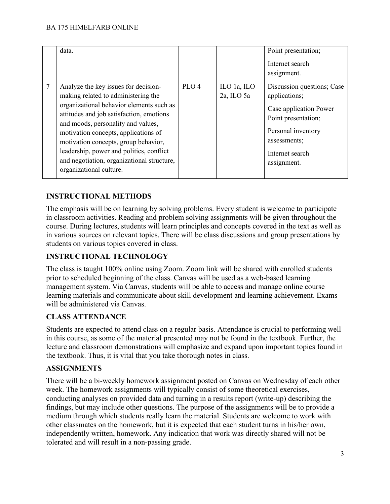|   | data.                                      |                  |             | Point presentation;        |
|---|--------------------------------------------|------------------|-------------|----------------------------|
|   |                                            |                  |             | Internet search            |
|   |                                            |                  |             |                            |
|   |                                            |                  |             | assignment.                |
| 7 | Analyze the key issues for decision-       | PLO <sub>4</sub> | ILO 1a, ILO | Discussion questions; Case |
|   | making related to administering the        |                  | 2a, ILO 5a  | applications;              |
|   | organizational behavior elements such as   |                  |             | Case application Power     |
|   | attitudes and job satisfaction, emotions   |                  |             |                            |
|   |                                            |                  |             | Point presentation;        |
|   | and moods, personality and values,         |                  |             |                            |
|   | motivation concepts, applications of       |                  |             | Personal inventory         |
|   | motivation concepts, group behavior,       |                  |             | assessments;               |
|   | leadership, power and politics, conflict   |                  |             | Internet search            |
|   | and negotiation, organizational structure, |                  |             |                            |
|   |                                            |                  |             | assignment.                |
|   | organizational culture.                    |                  |             |                            |
|   |                                            |                  |             |                            |

## **INSTRUCTIONAL METHODS**

The emphasis will be on learning by solving problems. Every student is welcome to participate in classroom activities. Reading and problem solving assignments will be given throughout the course. During lectures, students will learn principles and concepts covered in the text as well as in various sources on relevant topics. There will be class discussions and group presentations by students on various topics covered in class.

#### **INSTRUCTIONAL TECHNOLOGY**

The class is taught 100% online using Zoom. Zoom link will be shared with enrolled students prior to scheduled beginning of the class. Canvas will be used as a web-based learning management system. Via Canvas, students will be able to access and manage online course learning materials and communicate about skill development and learning achievement. Exams will be administered via Canvas.

#### **CLASS ATTENDANCE**

Students are expected to attend class on a regular basis. Attendance is crucial to performing well in this course, as some of the material presented may not be found in the textbook. Further, the lecture and classroom demonstrations will emphasize and expand upon important topics found in the textbook. Thus, it is vital that you take thorough notes in class.

#### **ASSIGNMENTS**

There will be a bi-weekly homework assignment posted on Canvas on Wednesday of each other week. The homework assignments will typically consist of some theoretical exercises, conducting analyses on provided data and turning in a results report (write-up) describing the findings, but may include other questions. The purpose of the assignments will be to provide a medium through which students really learn the material. Students are welcome to work with other classmates on the homework, but it is expected that each student turns in his/her own, independently written, homework. Any indication that work was directly shared will not be tolerated and will result in a non-passing grade.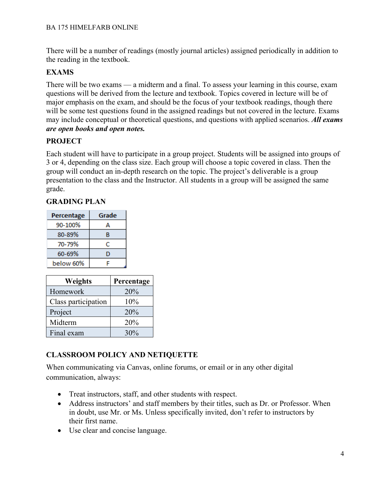There will be a number of readings (mostly journal articles) assigned periodically in addition to the reading in the textbook.

#### **EXAMS**

There will be two exams — a midterm and a final. To assess your learning in this course, exam questions will be derived from the lecture and textbook. Topics covered in lecture will be of major emphasis on the exam, and should be the focus of your textbook readings, though there will be some test questions found in the assigned readings but not covered in the lecture. Exams may include conceptual or theoretical questions, and questions with applied scenarios. *All exams are open books and open notes.*

#### **PROJECT**

Each student will have to participate in a group project. Students will be assigned into groups of 3 or 4, depending on the class size. Each group will choose a topic covered in class. Then the group will conduct an in-depth research on the topic. The project's deliverable is a group presentation to the class and the Instructor. All students in a group will be assigned the same grade.

#### **GRADING PLAN**

| Percentage | Grade |  |
|------------|-------|--|
| 90-100%    | А     |  |
| 80-89%     | B     |  |
| 70-79%     | с     |  |
| 60-69%     | D     |  |
| below 60%  |       |  |

| <b>Weights</b>      | Percentage |  |
|---------------------|------------|--|
| Homework            | 20%        |  |
| Class participation | 10%        |  |
| Project             | 20%        |  |
| Midterm             | 20%        |  |
| Final exam          | 30%        |  |

## **CLASSROOM POLICY AND NETIQUETTE**

When communicating via Canvas, online forums, or email or in any other digital communication, always:

- Treat instructors, staff, and other students with respect.
- Address instructors' and staff members by their titles, such as Dr. or Professor. When in doubt, use Mr. or Ms. Unless specifically invited, don't refer to instructors by their first name.
- Use clear and concise language.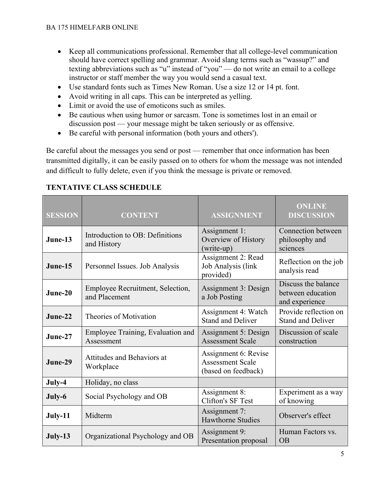- Keep all communications professional. Remember that all college-level communication should have correct spelling and grammar. Avoid slang terms such as "wassup?" and texting abbreviations such as "u" instead of "you" — do not write an email to a college instructor or staff member the way you would send a casual text.
- Use standard fonts such as Times New Roman. Use a size 12 or 14 pt. font.
- Avoid writing in all caps. This can be interpreted as yelling.
- Limit or avoid the use of emoticons such as smiles.
- Be cautious when using humor or sarcasm. Tone is sometimes lost in an email or discussion post — your message might be taken seriously or as offensive.
- Be careful with personal information (both yours and others').

Be careful about the messages you send or post — remember that once information has been transmitted digitally, it can be easily passed on to others for whom the message was not intended and difficult to fully delete, even if you think the message is private or removed.

| <b>SESSION</b> | <b>CONTENT</b>                                    | <b>ASSIGNMENT</b>                                                      | <b>ONLINE</b><br><b>DISCUSSION</b>                         |
|----------------|---------------------------------------------------|------------------------------------------------------------------------|------------------------------------------------------------|
| June-13        | Introduction to OB: Definitions<br>and History    | Assignment 1:<br>Overview of History<br>(write-up)                     | Connection between<br>philosophy and<br>sciences           |
| June-15        | Personnel Issues. Job Analysis                    | Assignment 2: Read<br>Job Analysis (link<br>provided)                  | Reflection on the job<br>analysis read                     |
| June-20        | Employee Recruitment, Selection,<br>and Placement | Assignment 3: Design<br>a Job Posting                                  | Discuss the balance<br>between education<br>and experience |
| June-22        | Theories of Motivation                            | Assignment 4: Watch<br><b>Stand and Deliver</b>                        | Provide reflection on<br><b>Stand and Deliver</b>          |
| $June-27$      | Employee Training, Evaluation and<br>Assessment   | Assignment 5: Design<br><b>Assessment Scale</b>                        | Discussion of scale<br>construction                        |
| June-29        | Attitudes and Behaviors at<br>Workplace           | Assignment 6: Revise<br><b>Assessment Scale</b><br>(based on feedback) |                                                            |
| July-4         | Holiday, no class                                 |                                                                        |                                                            |
| July-6         | Social Psychology and OB                          | Assignment 8:<br>Clifton's SF Test                                     | Experiment as a way<br>of knowing                          |
| July-11        | Midterm                                           | Assignment 7:<br><b>Hawthorne Studies</b>                              | Observer's effect                                          |
| July-13        | Organizational Psychology and OB                  | Assignment 9:<br>Presentation proposal                                 | Human Factors vs.<br><b>OB</b>                             |

## **TENTATIVE CLASS SCHEDULE**